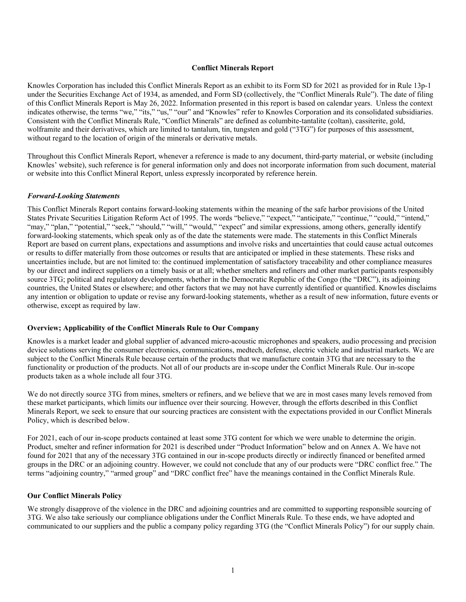## **Conflict Minerals Report**

Knowles Corporation has included this Conflict Minerals Report as an exhibit to its Form SD for 2021 as provided for in Rule 13p-1 under the Securities Exchange Act of 1934, as amended, and Form SD (collectively, the "Conflict Minerals Rule"). The date of filing of this Conflict Minerals Report is May 26, 2022. Information presented in this report is based on calendar years. Unless the context indicates otherwise, the terms "we," "its," "us," "our" and "Knowles" refer to Knowles Corporation and its consolidated subsidiaries. Consistent with the Conflict Minerals Rule, "Conflict Minerals" are defined as columbite-tantalite (coltan), cassiterite, gold, wolframite and their derivatives, which are limited to tantalum, tin, tungsten and gold ("3TG") for purposes of this assessment, without regard to the location of origin of the minerals or derivative metals.

Throughout this Conflict Minerals Report, whenever a reference is made to any document, third-party material, or website (including Knowles' website), such reference is for general information only and does not incorporate information from such document, material or website into this Conflict Mineral Report, unless expressly incorporated by reference herein.

#### *Forward-Looking Statements*

This Conflict Minerals Report contains forward-looking statements within the meaning of the safe harbor provisions of the United States Private Securities Litigation Reform Act of 1995. The words "believe," "expect," "anticipate," "continue," "could," "intend," "may," "plan," "potential," "seek," "should," "will," "would," "expect" and similar expressions, among others, generally identify forward-looking statements, which speak only as of the date the statements were made. The statements in this Conflict Minerals Report are based on current plans, expectations and assumptions and involve risks and uncertainties that could cause actual outcomes or results to differ materially from those outcomes or results that are anticipated or implied in these statements. These risks and uncertainties include, but are not limited to: the continued implementation of satisfactory traceability and other compliance measures by our direct and indirect suppliers on a timely basis or at all; whether smelters and refiners and other market participants responsibly source 3TG; political and regulatory developments, whether in the Democratic Republic of the Congo (the "DRC"), its adjoining countries, the United States or elsewhere; and other factors that we may not have currently identified or quantified. Knowles disclaims any intention or obligation to update or revise any forward-looking statements, whether as a result of new information, future events or otherwise, except as required by law.

# **Overview; Applicability of the Conflict Minerals Rule to Our Company**

Knowles is a market leader and global supplier of advanced micro-acoustic microphones and speakers, audio processing and precision device solutions serving the consumer electronics, communications, medtech, defense, electric vehicle and industrial markets. We are subject to the Conflict Minerals Rule because certain of the products that we manufacture contain 3TG that are necessary to the functionality or production of the products. Not all of our products are in-scope under the Conflict Minerals Rule. Our in-scope products taken as a whole include all four 3TG.

We do not directly source 3TG from mines, smelters or refiners, and we believe that we are in most cases many levels removed from these market participants, which limits our influence over their sourcing. However, through the efforts described in this Conflict Minerals Report, we seek to ensure that our sourcing practices are consistent with the expectations provided in our Conflict Minerals Policy, which is described below.

For 2021, each of our in-scope products contained at least some 3TG content for which we were unable to determine the origin. Product, smelter and refiner information for 2021 is described under "Product Information" below and on Annex A. We have not found for 2021 that any of the necessary 3TG contained in our in-scope products directly or indirectly financed or benefited armed groups in the DRC or an adjoining country. However, we could not conclude that any of our products were "DRC conflict free." The terms "adjoining country," "armed group" and "DRC conflict free" have the meanings contained in the Conflict Minerals Rule.

#### **Our Conflict Minerals Policy**

We strongly disapprove of the violence in the DRC and adjoining countries and are committed to supporting responsible sourcing of 3TG. We also take seriously our compliance obligations under the Conflict Minerals Rule. To these ends, we have adopted and communicated to our suppliers and the public a company policy regarding 3TG (the "Conflict Minerals Policy") for our supply chain.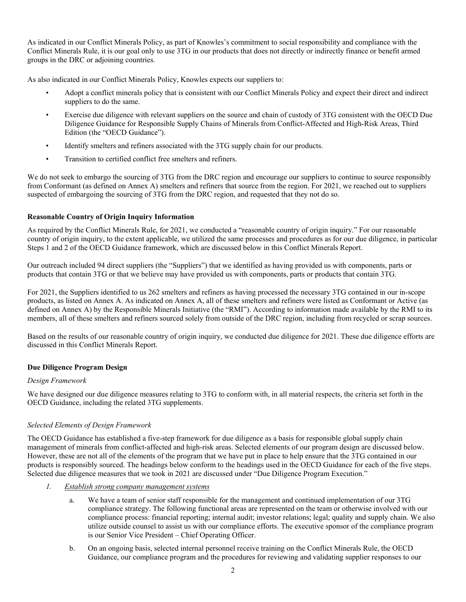As indicated in our Conflict Minerals Policy, as part of Knowles's commitment to social responsibility and compliance with the Conflict Minerals Rule, it is our goal only to use 3TG in our products that does not directly or indirectly finance or benefit armed groups in the DRC or adjoining countries.

As also indicated in our Conflict Minerals Policy, Knowles expects our suppliers to:

- Adopt a conflict minerals policy that is consistent with our Conflict Minerals Policy and expect their direct and indirect suppliers to do the same.
- Exercise due diligence with relevant suppliers on the source and chain of custody of 3TG consistent with the OECD Due Diligence Guidance for Responsible Supply Chains of Minerals from Conflict-Affected and High-Risk Areas, Third Edition (the "OECD Guidance").
- Identify smelters and refiners associated with the 3TG supply chain for our products.
- Transition to certified conflict free smelters and refiners.

We do not seek to embargo the sourcing of 3TG from the DRC region and encourage our suppliers to continue to source responsibly from Conformant (as defined on Annex A) smelters and refiners that source from the region. For 2021, we reached out to suppliers suspected of embargoing the sourcing of 3TG from the DRC region, and requested that they not do so.

# **Reasonable Country of Origin Inquiry Information**

As required by the Conflict Minerals Rule, for 2021, we conducted a "reasonable country of origin inquiry." For our reasonable country of origin inquiry, to the extent applicable, we utilized the same processes and procedures as for our due diligence, in particular Steps 1 and 2 of the OECD Guidance framework, which are discussed below in this Conflict Minerals Report.

Our outreach included 94 direct suppliers (the "Suppliers") that we identified as having provided us with components, parts or products that contain 3TG or that we believe may have provided us with components, parts or products that contain 3TG.

For 2021, the Suppliers identified to us 262 smelters and refiners as having processed the necessary 3TG contained in our in-scope products, as listed on Annex A. As indicated on Annex A, all of these smelters and refiners were listed as Conformant or Active (as defined on Annex A) by the Responsible Minerals Initiative (the "RMI"). According to information made available by the RMI to its members, all of these smelters and refiners sourced solely from outside of the DRC region, including from recycled or scrap sources.

Based on the results of our reasonable country of origin inquiry, we conducted due diligence for 2021. These due diligence efforts are discussed in this Conflict Minerals Report.

# **Due Diligence Program Design**

# *Design Framework*

We have designed our due diligence measures relating to 3TG to conform with, in all material respects, the criteria set forth in the OECD Guidance, including the related 3TG supplements.

# *Selected Elements of Design Framework*

The OECD Guidance has established a five-step framework for due diligence as a basis for responsible global supply chain management of minerals from conflict-affected and high-risk areas. Selected elements of our program design are discussed below. However, these are not all of the elements of the program that we have put in place to help ensure that the 3TG contained in our products is responsibly sourced. The headings below conform to the headings used in the OECD Guidance for each of the five steps. Selected due diligence measures that we took in 2021 are discussed under "Due Diligence Program Execution."

- *1. Establish strong company management systems*
	- a. We have a team of senior staff responsible for the management and continued implementation of our 3TG compliance strategy. The following functional areas are represented on the team or otherwise involved with our compliance process: financial reporting; internal audit; investor relations; legal; quality and supply chain. We also utilize outside counsel to assist us with our compliance efforts. The executive sponsor of the compliance program is our Senior Vice President – Chief Operating Officer.
	- b. On an ongoing basis, selected internal personnel receive training on the Conflict Minerals Rule, the OECD Guidance, our compliance program and the procedures for reviewing and validating supplier responses to our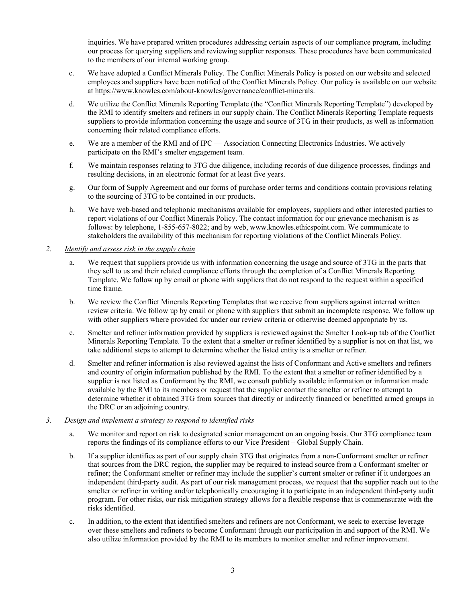inquiries. We have prepared written procedures addressing certain aspects of our compliance program, including our process for querying suppliers and reviewing supplier responses. These procedures have been communicated to the members of our internal working group.

- c. We have adopted a Conflict Minerals Policy. The Conflict Minerals Policy is posted on our website and selected employees and suppliers have been notified of the Conflict Minerals Policy. Our policy is available on our website at [https://www.knowles.com/about-knowles/governance/conflict-minerals.](https://www.knowles.com/about-knowles/governance/conflict-minerals)
- d. We utilize the Conflict Minerals Reporting Template (the "Conflict Minerals Reporting Template") developed by the RMI to identify smelters and refiners in our supply chain. The Conflict Minerals Reporting Template requests suppliers to provide information concerning the usage and source of 3TG in their products, as well as information concerning their related compliance efforts.
- e. We are a member of the RMI and of IPC Association Connecting Electronics Industries. We actively participate on the RMI's smelter engagement team.
- f. We maintain responses relating to 3TG due diligence, including records of due diligence processes, findings and resulting decisions, in an electronic format for at least five years.
- g. Our form of Supply Agreement and our forms of purchase order terms and conditions contain provisions relating to the sourcing of 3TG to be contained in our products.
- h. We have web-based and telephonic mechanisms available for employees, suppliers and other interested parties to report violations of our Conflict Minerals Policy. The contact information for our grievance mechanism is as follows: by telephone, 1-855-657-8022; and by web, www.knowles.ethicspoint.com. We communicate to stakeholders the availability of this mechanism for reporting violations of the Conflict Minerals Policy.

# *2. Identify and assess risk in the supply chain*

- a. We request that suppliers provide us with information concerning the usage and source of 3TG in the parts that they sell to us and their related compliance efforts through the completion of a Conflict Minerals Reporting Template. We follow up by email or phone with suppliers that do not respond to the request within a specified time frame.
- b. We review the Conflict Minerals Reporting Templates that we receive from suppliers against internal written review criteria. We follow up by email or phone with suppliers that submit an incomplete response. We follow up with other suppliers where provided for under our review criteria or otherwise deemed appropriate by us.
- c. Smelter and refiner information provided by suppliers is reviewed against the Smelter Look-up tab of the Conflict Minerals Reporting Template. To the extent that a smelter or refiner identified by a supplier is not on that list, we take additional steps to attempt to determine whether the listed entity is a smelter or refiner.
- d. Smelter and refiner information is also reviewed against the lists of Conformant and Active smelters and refiners and country of origin information published by the RMI. To the extent that a smelter or refiner identified by a supplier is not listed as Conformant by the RMI, we consult publicly available information or information made available by the RMI to its members or request that the supplier contact the smelter or refiner to attempt to determine whether it obtained 3TG from sources that directly or indirectly financed or benefitted armed groups in the DRC or an adjoining country.

# *3. Design and implement a strategy to respond to identified risks*

- a. We monitor and report on risk to designated senior management on an ongoing basis. Our 3TG compliance team reports the findings of its compliance efforts to our Vice President – Global Supply Chain.
- b. If a supplier identifies as part of our supply chain 3TG that originates from a non-Conformant smelter or refiner that sources from the DRC region, the supplier may be required to instead source from a Conformant smelter or refiner; the Conformant smelter or refiner may include the supplier's current smelter or refiner if it undergoes an independent third-party audit. As part of our risk management process, we request that the supplier reach out to the smelter or refiner in writing and/or telephonically encouraging it to participate in an independent third-party audit program. For other risks, our risk mitigation strategy allows for a flexible response that is commensurate with the risks identified.
- c. In addition, to the extent that identified smelters and refiners are not Conformant, we seek to exercise leverage over these smelters and refiners to become Conformant through our participation in and support of the RMI. We also utilize information provided by the RMI to its members to monitor smelter and refiner improvement.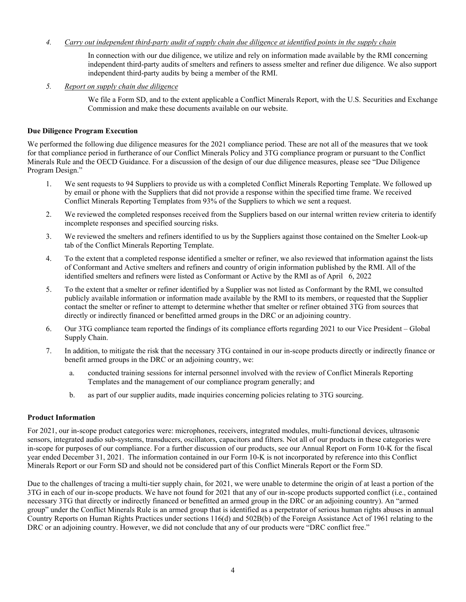## *4. Carry out independent third-party audit of supply chain due diligence at identified points in the supply chain*

In connection with our due diligence, we utilize and rely on information made available by the RMI concerning independent third-party audits of smelters and refiners to assess smelter and refiner due diligence. We also support independent third-party audits by being a member of the RMI.

#### *5. Report on supply chain due diligence*

We file a Form SD, and to the extent applicable a Conflict Minerals Report, with the U.S. Securities and Exchange Commission and make these documents available on our website.

## **Due Diligence Program Execution**

We performed the following due diligence measures for the 2021 compliance period. These are not all of the measures that we took for that compliance period in furtherance of our Conflict Minerals Policy and 3TG compliance program or pursuant to the Conflict Minerals Rule and the OECD Guidance. For a discussion of the design of our due diligence measures, please see "Due Diligence Program Design."

- 1. We sent requests to 94 Suppliers to provide us with a completed Conflict Minerals Reporting Template. We followed up by email or phone with the Suppliers that did not provide a response within the specified time frame. We received Conflict Minerals Reporting Templates from 93% of the Suppliers to which we sent a request.
- 2. We reviewed the completed responses received from the Suppliers based on our internal written review criteria to identify incomplete responses and specified sourcing risks.
- 3. We reviewed the smelters and refiners identified to us by the Suppliers against those contained on the Smelter Look-up tab of the Conflict Minerals Reporting Template.
- 4. To the extent that a completed response identified a smelter or refiner, we also reviewed that information against the lists of Conformant and Active smelters and refiners and country of origin information published by the RMI. All of the identified smelters and refiners were listed as Conformant or Active by the RMI as of April 6, 2022
- 5. To the extent that a smelter or refiner identified by a Supplier was not listed as Conformant by the RMI, we consulted publicly available information or information made available by the RMI to its members, or requested that the Supplier contact the smelter or refiner to attempt to determine whether that smelter or refiner obtained 3TG from sources that directly or indirectly financed or benefitted armed groups in the DRC or an adjoining country.
- 6. Our 3TG compliance team reported the findings of its compliance efforts regarding 2021 to our Vice President Global Supply Chain.
- 7. In addition, to mitigate the risk that the necessary 3TG contained in our in-scope products directly or indirectly finance or benefit armed groups in the DRC or an adjoining country, we:
	- a. conducted training sessions for internal personnel involved with the review of Conflict Minerals Reporting Templates and the management of our compliance program generally; and
	- b. as part of our supplier audits, made inquiries concerning policies relating to 3TG sourcing.

# **Product Information**

For 2021, our in-scope product categories were: microphones, receivers, integrated modules, multi-functional devices, ultrasonic sensors, integrated audio sub-systems, transducers, oscillators, capacitors and filters. Not all of our products in these categories were in-scope for purposes of our compliance. For a further discussion of our products, see our Annual Report on Form 10-K for the fiscal year ended December 31, 2021. The information contained in our Form 10-K is not incorporated by reference into this Conflict Minerals Report or our Form SD and should not be considered part of this Conflict Minerals Report or the Form SD.

Due to the challenges of tracing a multi-tier supply chain, for 2021, we were unable to determine the origin of at least a portion of the 3TG in each of our in-scope products. We have not found for 2021 that any of our in-scope products supported conflict (i.e., contained necessary 3TG that directly or indirectly financed or benefitted an armed group in the DRC or an adjoining country). An "armed group" under the Conflict Minerals Rule is an armed group that is identified as a perpetrator of serious human rights abuses in annual Country Reports on Human Rights Practices under sections 116(d) and 502B(b) of the Foreign Assistance Act of 1961 relating to the DRC or an adjoining country. However, we did not conclude that any of our products were "DRC conflict free."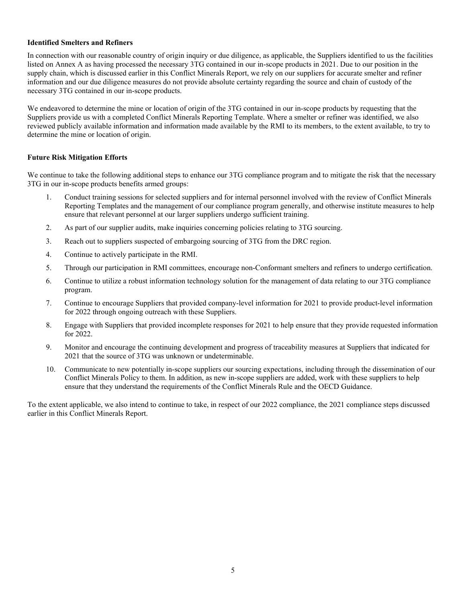## **Identified Smelters and Refiners**

In connection with our reasonable country of origin inquiry or due diligence, as applicable, the Suppliers identified to us the facilities listed on Annex A as having processed the necessary 3TG contained in our in-scope products in 2021. Due to our position in the supply chain, which is discussed earlier in this Conflict Minerals Report, we rely on our suppliers for accurate smelter and refiner information and our due diligence measures do not provide absolute certainty regarding the source and chain of custody of the necessary 3TG contained in our in-scope products.

We endeavored to determine the mine or location of origin of the 3TG contained in our in-scope products by requesting that the Suppliers provide us with a completed Conflict Minerals Reporting Template. Where a smelter or refiner was identified, we also reviewed publicly available information and information made available by the RMI to its members, to the extent available, to try to determine the mine or location of origin.

#### **Future Risk Mitigation Efforts**

We continue to take the following additional steps to enhance our 3TG compliance program and to mitigate the risk that the necessary 3TG in our in-scope products benefits armed groups:

- 1. Conduct training sessions for selected suppliers and for internal personnel involved with the review of Conflict Minerals Reporting Templates and the management of our compliance program generally, and otherwise institute measures to help ensure that relevant personnel at our larger suppliers undergo sufficient training.
- 2. As part of our supplier audits, make inquiries concerning policies relating to 3TG sourcing.
- 3. Reach out to suppliers suspected of embargoing sourcing of 3TG from the DRC region.
- 4. Continue to actively participate in the RMI.
- 5. Through our participation in RMI committees, encourage non-Conformant smelters and refiners to undergo certification.
- 6. Continue to utilize a robust information technology solution for the management of data relating to our 3TG compliance program.
- 7. Continue to encourage Suppliers that provided company-level information for 2021 to provide product-level information for 2022 through ongoing outreach with these Suppliers.
- 8. Engage with Suppliers that provided incomplete responses for 2021 to help ensure that they provide requested information for 2022.
- 9. Monitor and encourage the continuing development and progress of traceability measures at Suppliers that indicated for 2021 that the source of 3TG was unknown or undeterminable.
- 10. Communicate to new potentially in-scope suppliers our sourcing expectations, including through the dissemination of our Conflict Minerals Policy to them. In addition, as new in-scope suppliers are added, work with these suppliers to help ensure that they understand the requirements of the Conflict Minerals Rule and the OECD Guidance.

To the extent applicable, we also intend to continue to take, in respect of our 2022 compliance, the 2021 compliance steps discussed earlier in this Conflict Minerals Report.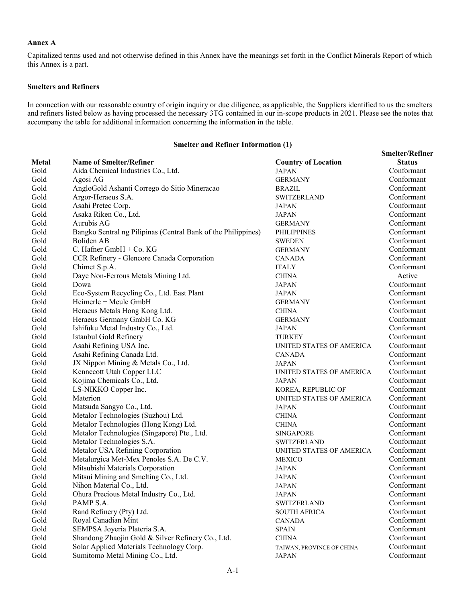# **Annex A**

Capitalized terms used and not otherwise defined in this Annex have the meanings set forth in the Conflict Minerals Report of which this Annex is a part.

#### **Smelters and Refiners**

In connection with our reasonable country of origin inquiry or due diligence, as applicable, the Suppliers identified to us the smelters and refiners listed below as having processed the necessary 3TG contained in our in-scope products in 2021. Please see the notes that accompany the table for additional information concerning the information in the table.

#### **Smelter and Refiner Information (1)**

|       |                                                               |                            | Smelter/Refiner |
|-------|---------------------------------------------------------------|----------------------------|-----------------|
| Metal | <b>Name of Smelter/Refiner</b>                                | <b>Country of Location</b> | <b>Status</b>   |
| Gold  | Aida Chemical Industries Co., Ltd.                            | <b>JAPAN</b>               | Conformant      |
| Gold  | Agosi AG                                                      | <b>GERMANY</b>             | Conformant      |
| Gold  | AngloGold Ashanti Corrego do Sitio Mineracao                  | <b>BRAZIL</b>              | Conformant      |
| Gold  | Argor-Heraeus S.A.                                            | <b>SWITZERLAND</b>         | Conformant      |
| Gold  | Asahi Pretec Corp.                                            | JAPAN                      | Conformant      |
| Gold  | Asaka Riken Co., Ltd.                                         | <b>JAPAN</b>               | Conformant      |
| Gold  | Aurubis AG                                                    | <b>GERMANY</b>             | Conformant      |
| Gold  | Bangko Sentral ng Pilipinas (Central Bank of the Philippines) | <b>PHILIPPINES</b>         | Conformant      |
| Gold  | Boliden AB                                                    | <b>SWEDEN</b>              | Conformant      |
| Gold  | C. Hafner GmbH + Co. KG                                       | <b>GERMANY</b>             | Conformant      |
| Gold  | CCR Refinery - Glencore Canada Corporation                    | <b>CANADA</b>              | Conformant      |
| Gold  | Chimet S.p.A.                                                 | <b>ITALY</b>               | Conformant      |
| Gold  | Daye Non-Ferrous Metals Mining Ltd.                           | <b>CHINA</b>               | Active          |
| Gold  | Dowa                                                          | <b>JAPAN</b>               | Conformant      |
| Gold  | Eco-System Recycling Co., Ltd. East Plant                     | <b>JAPAN</b>               | Conformant      |
| Gold  | Heimerle + Meule GmbH                                         | <b>GERMANY</b>             | Conformant      |
| Gold  | Heraeus Metals Hong Kong Ltd.                                 | <b>CHINA</b>               | Conformant      |
| Gold  | Heraeus Germany GmbH Co. KG                                   | <b>GERMANY</b>             | Conformant      |
| Gold  | Ishifuku Metal Industry Co., Ltd.                             | <b>JAPAN</b>               | Conformant      |
| Gold  | Istanbul Gold Refinery                                        | <b>TURKEY</b>              | Conformant      |
| Gold  | Asahi Refining USA Inc.                                       | UNITED STATES OF AMERICA   | Conformant      |
| Gold  | Asahi Refining Canada Ltd.                                    | <b>CANADA</b>              | Conformant      |
| Gold  | JX Nippon Mining & Metals Co., Ltd.                           | <b>JAPAN</b>               | Conformant      |
| Gold  | Kennecott Utah Copper LLC                                     | UNITED STATES OF AMERICA   | Conformant      |
| Gold  | Kojima Chemicals Co., Ltd.                                    | <b>JAPAN</b>               | Conformant      |
| Gold  | LS-NIKKO Copper Inc.                                          | KOREA, REPUBLIC OF         | Conformant      |
| Gold  | Materion                                                      | UNITED STATES OF AMERICA   | Conformant      |
| Gold  | Matsuda Sangyo Co., Ltd.                                      | <b>JAPAN</b>               | Conformant      |
| Gold  | Metalor Technologies (Suzhou) Ltd.                            | <b>CHINA</b>               | Conformant      |
| Gold  | Metalor Technologies (Hong Kong) Ltd.                         | <b>CHINA</b>               | Conformant      |
| Gold  | Metalor Technologies (Singapore) Pte., Ltd.                   | <b>SINGAPORE</b>           | Conformant      |
| Gold  | Metalor Technologies S.A.                                     | <b>SWITZERLAND</b>         | Conformant      |
| Gold  | Metalor USA Refining Corporation                              | UNITED STATES OF AMERICA   | Conformant      |
| Gold  | Metalurgica Met-Mex Penoles S.A. De C.V.                      | <b>MEXICO</b>              | Conformant      |
| Gold  | Mitsubishi Materials Corporation                              | JAPAN                      | Conformant      |
| Gold  | Mitsui Mining and Smelting Co., Ltd.                          | <b>JAPAN</b>               | Conformant      |
| Gold  | Nihon Material Co., Ltd.                                      | <b>JAPAN</b>               | Conformant      |
| Gold  | Ohura Precious Metal Industry Co., Ltd.                       | <b>JAPAN</b>               | Conformant      |
| Gold  | PAMP S.A.                                                     | SWITZERLAND                | Conformant      |
| Gold  | Rand Refinery (Pty) Ltd.                                      | <b>SOUTH AFRICA</b>        | Conformant      |
| Gold  | Royal Canadian Mint                                           | <b>CANADA</b>              | Conformant      |
| Gold  | SEMPSA Joyeria Plateria S.A.                                  | <b>SPAIN</b>               | Conformant      |
| Gold  | Shandong Zhaojin Gold & Silver Refinery Co., Ltd.             | <b>CHINA</b>               | Conformant      |
| Gold  | Solar Applied Materials Technology Corp.                      | TAIWAN, PROVINCE OF CHINA  | Conformant      |
| Gold  | Sumitomo Metal Mining Co., Ltd.                               | <b>JAPAN</b>               | Conformant      |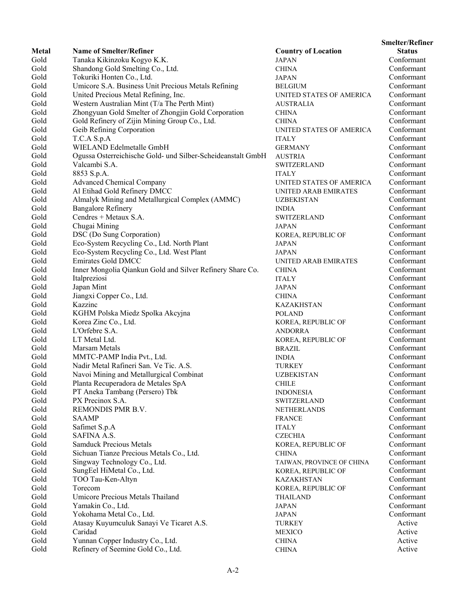| <b>Metal</b> | <b>Name of Smelter/Refiner</b>                              | <b>Country of Location</b>   | <b>Status</b> |
|--------------|-------------------------------------------------------------|------------------------------|---------------|
| Gold         | Tanaka Kikinzoku Kogyo K.K.                                 | <b>JAPAN</b>                 | Conformant    |
| Gold         | Shandong Gold Smelting Co., Ltd.                            | <b>CHINA</b>                 | Conformant    |
| Gold         | Tokuriki Honten Co., Ltd.                                   | <b>JAPAN</b>                 | Conformant    |
| Gold         | Umicore S.A. Business Unit Precious Metals Refining         | <b>BELGIUM</b>               | Conformant    |
| Gold         | United Precious Metal Refining, Inc.                        | UNITED STATES OF AMERICA     | Conformant    |
| Gold         | Western Australian Mint (T/a The Perth Mint)                | <b>AUSTRALIA</b>             | Conformant    |
| Gold         | Zhongyuan Gold Smelter of Zhongjin Gold Corporation         | <b>CHINA</b>                 | Conformant    |
| Gold         | Gold Refinery of Zijin Mining Group Co., Ltd.               | <b>CHINA</b>                 | Conformant    |
| Gold         | Geib Refining Corporation                                   | UNITED STATES OF AMERICA     | Conformant    |
| Gold         | T.C.A S.p.A                                                 | <b>ITALY</b>                 | Conformant    |
| Gold         | WIELAND Edelmetalle GmbH                                    | <b>GERMANY</b>               | Conformant    |
| Gold         | Ogussa Osterreichische Gold- und Silber-Scheideanstalt GmbH | <b>AUSTRIA</b>               | Conformant    |
| Gold         | Valcambi S.A.                                               | SWITZERLAND                  | Conformant    |
| Gold         | 8853 S.p.A.                                                 | <b>ITALY</b>                 | Conformant    |
| Gold         | <b>Advanced Chemical Company</b>                            | UNITED STATES OF AMERICA     | Conformant    |
| Gold         | Al Etihad Gold Refinery DMCC                                | UNITED ARAB EMIRATES         | Conformant    |
| Gold         | Almalyk Mining and Metallurgical Complex (AMMC)             | <b>UZBEKISTAN</b>            | Conformant    |
| Gold         | <b>Bangalore Refinery</b>                                   | <b>INDIA</b>                 | Conformant    |
| Gold         | Cendres + Metaux S.A.                                       | SWITZERLAND                  | Conformant    |
| Gold         | Chugai Mining                                               | JAPAN                        | Conformant    |
| Gold         | DSC (Do Sung Corporation)                                   | KOREA, REPUBLIC OF           | Conformant    |
| Gold         | Eco-System Recycling Co., Ltd. North Plant                  | <b>JAPAN</b>                 | Conformant    |
| Gold         | Eco-System Recycling Co., Ltd. West Plant                   | <b>JAPAN</b>                 | Conformant    |
| Gold         | Emirates Gold DMCC                                          | UNITED ARAB EMIRATES         | Conformant    |
| Gold         | Inner Mongolia Qiankun Gold and Silver Refinery Share Co.   | <b>CHINA</b>                 | Conformant    |
| Gold         | Italpreziosi                                                |                              | Conformant    |
| Gold         | Japan Mint                                                  | <b>ITALY</b>                 | Conformant    |
| Gold         |                                                             | <b>JAPAN</b><br><b>CHINA</b> | Conformant    |
| Gold         | Jiangxi Copper Co., Ltd.<br>Kazzinc                         |                              | Conformant    |
|              |                                                             | <b>KAZAKHSTAN</b>            |               |
| Gold         | KGHM Polska Miedz Spolka Akcyjna                            | <b>POLAND</b>                | Conformant    |
| Gold         | Korea Zinc Co., Ltd.                                        | KOREA, REPUBLIC OF           | Conformant    |
| Gold         | L'Orfebre S.A.                                              | <b>ANDORRA</b>               | Conformant    |
| Gold         | LT Metal Ltd.                                               | KOREA, REPUBLIC OF           | Conformant    |
| Gold         | Marsam Metals                                               | <b>BRAZIL</b>                | Conformant    |
| Gold         | MMTC-PAMP India Pvt., Ltd.                                  | <b>INDIA</b>                 | Conformant    |
| Gold         | Nadir Metal Rafineri San. Ve Tic. A.S.                      | <b>TURKEY</b>                | Conformant    |
| Gold         | Navoi Mining and Metallurgical Combinat                     | <b>UZBEKISTAN</b>            | Conformant    |
| Gold         | Planta Recuperadora de Metales SpA                          | <b>CHILE</b>                 | Conformant    |
| Gold         | PT Aneka Tambang (Persero) Tbk                              | <b>INDONESIA</b>             | Conformant    |
| Gold         | PX Precinox S.A.                                            | SWITZERLAND                  | Conformant    |
| Gold         | REMONDIS PMR B.V.                                           | NETHERLANDS                  | Conformant    |
| Gold         | <b>SAAMP</b>                                                | <b>FRANCE</b>                | Conformant    |
| Gold         | Safimet S.p.A                                               | <b>ITALY</b>                 | Conformant    |
| Gold         | SAFINA A.S.                                                 | <b>CZECHIA</b>               | Conformant    |
| Gold         | <b>Samduck Precious Metals</b>                              | KOREA, REPUBLIC OF           | Conformant    |
| Gold         | Sichuan Tianze Precious Metals Co., Ltd.                    | <b>CHINA</b>                 | Conformant    |
| Gold         | Singway Technology Co., Ltd.                                | TAIWAN, PROVINCE OF CHINA    | Conformant    |
| Gold         | SungEel HiMetal Co., Ltd.                                   | KOREA, REPUBLIC OF           | Conformant    |
| Gold         | TOO Tau-Ken-Altyn                                           | <b>KAZAKHSTAN</b>            | Conformant    |
| Gold         | Torecom                                                     | KOREA, REPUBLIC OF           | Conformant    |
| Gold         | Umicore Precious Metals Thailand                            | <b>THAILAND</b>              | Conformant    |
| Gold         | Yamakin Co., Ltd.                                           | <b>JAPAN</b>                 | Conformant    |
| Gold         | Yokohama Metal Co., Ltd.                                    | JAPAN                        | Conformant    |
| Gold         | Atasay Kuyumculuk Sanayi Ve Ticaret A.S.                    | <b>TURKEY</b>                | Active        |
| Gold         | Caridad                                                     | <b>MEXICO</b>                | Active        |
| Gold         | Yunnan Copper Industry Co., Ltd.                            | <b>CHINA</b>                 | Active        |
| Gold         | Refinery of Seemine Gold Co., Ltd.                          | <b>CHINA</b>                 | Active        |
|              |                                                             |                              |               |

**Smelter/Refiner Status**<br>Conformant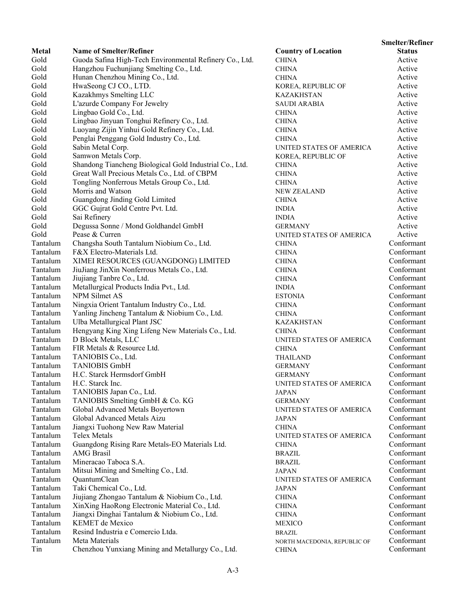| <b>Metal</b> | <b>Name of Smelter/Refiner</b>                           | <b>Country of Location</b>   | <b>Status</b> |
|--------------|----------------------------------------------------------|------------------------------|---------------|
| Gold         | Guoda Safina High-Tech Environmental Refinery Co., Ltd.  | <b>CHINA</b>                 | Active        |
| Gold         | Hangzhou Fuchunjiang Smelting Co., Ltd.                  | <b>CHINA</b>                 | Active        |
| Gold         | Hunan Chenzhou Mining Co., Ltd.                          | <b>CHINA</b>                 | Active        |
| Gold         | HwaSeong CJ CO., LTD.                                    | KOREA, REPUBLIC OF           | Active        |
| Gold         | Kazakhmys Smelting LLC                                   | <b>KAZAKHSTAN</b>            | Active        |
| Gold         | L'azurde Company For Jewelry                             | <b>SAUDI ARABIA</b>          | Active        |
| Gold         | Lingbao Gold Co., Ltd.                                   | <b>CHINA</b>                 | Active        |
| Gold         | Lingbao Jinyuan Tonghui Refinery Co., Ltd.               | <b>CHINA</b>                 | Active        |
| Gold         | Luoyang Zijin Yinhui Gold Refinery Co., Ltd.             | <b>CHINA</b>                 | Active        |
| Gold         | Penglai Penggang Gold Industry Co., Ltd.                 | <b>CHINA</b>                 | Active        |
| Gold         | Sabin Metal Corp.                                        | UNITED STATES OF AMERICA     | Active        |
| Gold         | Samwon Metals Corp.                                      | KOREA, REPUBLIC OF           | Active        |
| Gold         | Shandong Tiancheng Biological Gold Industrial Co., Ltd.  | <b>CHINA</b>                 | Active        |
| Gold         | Great Wall Precious Metals Co., Ltd. of CBPM             | <b>CHINA</b>                 | Active        |
| Gold         | Tongling Nonferrous Metals Group Co., Ltd.               | <b>CHINA</b>                 | Active        |
| Gold         | Morris and Watson                                        | <b>NEW ZEALAND</b>           | Active        |
| Gold         | Guangdong Jinding Gold Limited                           | <b>CHINA</b>                 | Active        |
| Gold         | GGC Gujrat Gold Centre Pvt. Ltd.                         | <b>INDIA</b>                 | Active        |
| Gold         | Sai Refinery                                             | <b>INDIA</b>                 | Active        |
| Gold         | Degussa Sonne / Mond Goldhandel GmbH                     | <b>GERMANY</b>               | Active        |
| Gold         | Pease & Curren                                           | UNITED STATES OF AMERICA     | Active        |
| Tantalum     | Changsha South Tantalum Niobium Co., Ltd.                | <b>CHINA</b>                 | Conformant    |
| Tantalum     | F&X Electro-Materials Ltd.                               | <b>CHINA</b>                 | Conformant    |
| Tantalum     | XIMEI RESOURCES (GUANGDONG) LIMITED                      | <b>CHINA</b>                 | Conformant    |
| Tantalum     | JiuJiang JinXin Nonferrous Metals Co., Ltd.              |                              | Conformant    |
| Tantalum     |                                                          | <b>CHINA</b>                 | Conformant    |
| Tantalum     | Jiujiang Tanbre Co., Ltd.                                | <b>CHINA</b><br><b>INDIA</b> | Conformant    |
| Tantalum     | Metallurgical Products India Pvt., Ltd.<br>NPM Silmet AS |                              | Conformant    |
|              |                                                          | <b>ESTONIA</b>               |               |
| Tantalum     | Ningxia Orient Tantalum Industry Co., Ltd.               | <b>CHINA</b>                 | Conformant    |
| Tantalum     | Yanling Jincheng Tantalum & Niobium Co., Ltd.            | <b>CHINA</b>                 | Conformant    |
| Tantalum     | Ulba Metallurgical Plant JSC                             | <b>KAZAKHSTAN</b>            | Conformant    |
| Tantalum     | Hengyang King Xing Lifeng New Materials Co., Ltd.        | <b>CHINA</b>                 | Conformant    |
| Tantalum     | D Block Metals, LLC                                      | UNITED STATES OF AMERICA     | Conformant    |
| Tantalum     | FIR Metals & Resource Ltd.                               | <b>CHINA</b>                 | Conformant    |
| Tantalum     | TANIOBIS Co., Ltd.                                       | <b>THAILAND</b>              | Conformant    |
| Tantalum     | <b>TANIOBIS GmbH</b>                                     | <b>GERMANY</b>               | Conformant    |
| Tantalum     | H.C. Starck Hermsdorf GmbH                               | <b>GERMANY</b>               | Conformant    |
| Tantalum     | H.C. Starck Inc.                                         | UNITED STATES OF AMERICA     | Conformant    |
| Tantalum     | TANIOBIS Japan Co., Ltd.                                 | <b>JAPAN</b>                 | Conformant    |
| Tantalum     | TANIOBIS Smelting GmbH & Co. KG                          | <b>GERMANY</b>               | Conformant    |
| Tantalum     | Global Advanced Metals Boyertown                         | UNITED STATES OF AMERICA     | Conformant    |
| Tantalum     | Global Advanced Metals Aizu                              | <b>JAPAN</b>                 | Conformant    |
| Tantalum     | Jiangxi Tuohong New Raw Material                         | <b>CHINA</b>                 | Conformant    |
| Tantalum     | Telex Metals                                             | UNITED STATES OF AMERICA     | Conformant    |
| Tantalum     | Guangdong Rising Rare Metals-EO Materials Ltd.           | <b>CHINA</b>                 | Conformant    |
| Tantalum     | <b>AMG</b> Brasil                                        | <b>BRAZIL</b>                | Conformant    |
| Tantalum     | Mineracao Taboca S.A.                                    | <b>BRAZIL</b>                | Conformant    |
| Tantalum     | Mitsui Mining and Smelting Co., Ltd.                     | <b>JAPAN</b>                 | Conformant    |
| Tantalum     | QuantumClean                                             | UNITED STATES OF AMERICA     | Conformant    |
| Tantalum     | Taki Chemical Co., Ltd.                                  | JAPAN                        | Conformant    |
| Tantalum     | Jiujiang Zhongao Tantalum & Niobium Co., Ltd.            | <b>CHINA</b>                 | Conformant    |
| Tantalum     | XinXing HaoRong Electronic Material Co., Ltd.            | <b>CHINA</b>                 | Conformant    |
| Tantalum     | Jiangxi Dinghai Tantalum & Niobium Co., Ltd.             | <b>CHINA</b>                 | Conformant    |
| Tantalum     | KEMET de Mexico                                          | <b>MEXICO</b>                | Conformant    |
| Tantalum     | Resind Industria e Comercio Ltda.                        | <b>BRAZIL</b>                | Conformant    |
| Tantalum     | Meta Materials                                           | NORTH MACEDONIA, REPUBLIC OF | Conformant    |
| Tin          | Chenzhou Yunxiang Mining and Metallurgy Co., Ltd.        | <b>CHINA</b>                 | Conformant    |

|                              | <b>Smelter/Refiner</b> |
|------------------------------|------------------------|
| <b>Country of Location</b>   | Status                 |
| <b>CHINA</b>                 | Active                 |
| <b>CHINA</b>                 | Active                 |
| <b>CHINA</b>                 | Active                 |
| KOREA, REPUBLIC OF           | Active                 |
| <b>KAZAKHSTAN</b>            | Active                 |
| <b>SAUDI ARABIA</b>          | Active                 |
| CHINA                        | Active                 |
| <b>CHINA</b>                 | Active                 |
| CHINA                        | Active                 |
| <b>CHINA</b>                 | Active                 |
|                              | Active                 |
| UNITED STATES OF AMERICA     | Active                 |
| KOREA, REPUBLIC OF           |                        |
| <b>CHINA</b>                 | Active<br>Active       |
| <b>CHINA</b>                 |                        |
| CHINA                        | Active                 |
| <b>NEW ZEALAND</b>           | Active                 |
| <b>CHINA</b>                 | Active                 |
| <b>INDIA</b>                 | Active                 |
| <b>INDIA</b>                 | Active                 |
| <b>GERMANY</b>               | Active                 |
| UNITED STATES OF AMERICA     | Active                 |
| <b>CHINA</b>                 | Conformant             |
| <b>CHINA</b>                 | Conformant             |
| CHINA                        | Conformant             |
| <b>CHINA</b>                 | Conformant             |
| <b>CHINA</b>                 | Conformant             |
| <b>INDIA</b>                 | Conformant             |
| <b>ESTONIA</b>               | Conformant             |
| <b>CHINA</b>                 | Conformant             |
| <b>CHINA</b>                 | Conformant             |
| <b>KAZAKHSTAN</b>            | Conformant             |
| <b>CHINA</b>                 | Conformant             |
| UNITED STATES OF AMERICA     | Conformant             |
| <b>CHINA</b>                 | Conformant             |
| <b>THAILAND</b>              | Conformant             |
| <b>GERMANY</b>               | Conformant             |
| <b>GERMANY</b>               | Conformant             |
| UNITED STATES OF AMERICA     | Conformant             |
| JAPAN                        | Conformant             |
| <b>GERMANY</b>               | Conformant             |
| UNITED STATES OF AMERICA     | Conformant             |
| JAPAN                        | Conformant             |
| <b>CHINA</b>                 | Conformant             |
| UNITED STATES OF AMERICA     | Conformant             |
| <b>CHINA</b>                 | Conformant             |
| <b>BRAZIL</b>                | Conformant             |
| <b>BRAZIL</b>                | Conformant             |
| <b>JAPAN</b>                 | Conformant             |
| UNITED STATES OF AMERICA     | Conformant             |
| <b>JAPAN</b>                 | Conformant             |
| <b>CHINA</b>                 | Conformant             |
| <b>CHINA</b>                 | Conformant             |
| <b>CHINA</b>                 | Conformant             |
| <b>MEXICO</b>                | Conformant             |
| <b>BRAZIL</b>                | Conformant             |
| NORTH MACEDONIA, REPUBLIC OF | Conformant             |
| CHINA                        | Conformant             |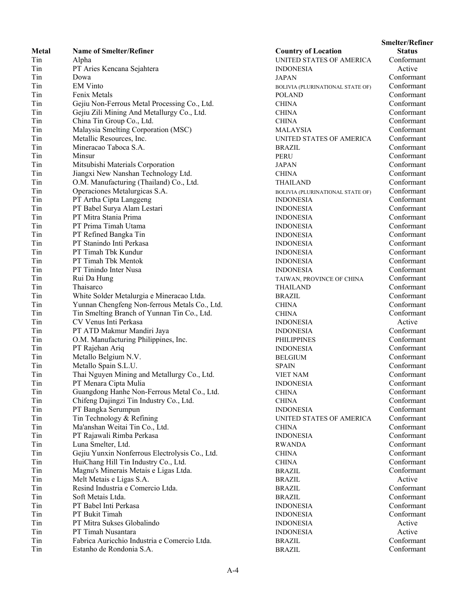| Metal | <b>Name of Smelter/Refiner</b>                 | <b>Country of Location</b>       | <b>Status</b> |
|-------|------------------------------------------------|----------------------------------|---------------|
| Tin   | Alpha                                          | UNITED STATES OF AMERICA         | Conformant    |
| Tin   | PT Aries Kencana Sejahtera                     | <b>INDONESIA</b>                 | Active        |
| Tin   | Dowa                                           | JAPAN                            | Conformant    |
| Tin   | <b>EM Vinto</b>                                | BOLIVIA (PLURINATIONAL STATE OF) | Conformant    |
| Tin   | Fenix Metals                                   | <b>POLAND</b>                    | Conformant    |
| Tin   | Gejiu Non-Ferrous Metal Processing Co., Ltd.   | <b>CHINA</b>                     | Conformant    |
| Tin   | Gejiu Zili Mining And Metallurgy Co., Ltd.     | <b>CHINA</b>                     | Conformant    |
| Tin   | China Tin Group Co., Ltd.                      | <b>CHINA</b>                     | Conformant    |
| Tin   | Malaysia Smelting Corporation (MSC)            | <b>MALAYSIA</b>                  | Conformant    |
| Tin   | Metallic Resources, Inc.                       | UNITED STATES OF AMERICA         | Conformant    |
| Tin   | Mineracao Taboca S.A.                          | <b>BRAZIL</b>                    | Conformant    |
| Tin   | Minsur                                         | <b>PERU</b>                      | Conformant    |
| Tin   | Mitsubishi Materials Corporation               | <b>JAPAN</b>                     | Conformant    |
| Tin   | Jiangxi New Nanshan Technology Ltd.            | <b>CHINA</b>                     | Conformant    |
| Tin   | O.M. Manufacturing (Thailand) Co., Ltd.        | THAILAND                         | Conformant    |
| Tin   | Operaciones Metalurgicas S.A.                  | BOLIVIA (PLURINATIONAL STATE OF) | Conformant    |
| Tin   | PT Artha Cipta Langgeng                        | <b>INDONESIA</b>                 | Conformant    |
| Tin   | PT Babel Surya Alam Lestari                    | <b>INDONESIA</b>                 | Conformant    |
| Tin   | PT Mitra Stania Prima                          | <b>INDONESIA</b>                 | Conformant    |
| Tin   | PT Prima Timah Utama                           | <b>INDONESIA</b>                 | Conformant    |
| Tin   | PT Refined Bangka Tin                          | <b>INDONESIA</b>                 | Conformant    |
| Tin   | PT Stanindo Inti Perkasa                       | <b>INDONESIA</b>                 | Conformant    |
| Tin   | PT Timah Tbk Kundur                            | <b>INDONESIA</b>                 | Conformant    |
| Tin   | PT Timah Tbk Mentok                            | <b>INDONESIA</b>                 | Conformant    |
| Tin   | PT Tinindo Inter Nusa                          | <b>INDONESIA</b>                 | Conformant    |
| Tin   | Rui Da Hung                                    | TAIWAN, PROVINCE OF CHINA        | Conformant    |
| Tin   | Thaisarco                                      | <b>THAILAND</b>                  | Conformant    |
| Tin   | White Solder Metalurgia e Mineracao Ltda.      | <b>BRAZIL</b>                    | Conformant    |
| Tin   | Yunnan Chengfeng Non-ferrous Metals Co., Ltd.  | <b>CHINA</b>                     | Conformant    |
| Tin   | Tin Smelting Branch of Yunnan Tin Co., Ltd.    | <b>CHINA</b>                     | Conformant    |
| Tin   | CV Venus Inti Perkasa                          | <b>INDONESIA</b>                 | Active        |
| Tin   | PT ATD Makmur Mandiri Jaya                     | <b>INDONESIA</b>                 | Conformant    |
| Tin   | O.M. Manufacturing Philippines, Inc.           | <b>PHILIPPINES</b>               | Conformant    |
| Tin   | PT Rajehan Ariq                                | <b>INDONESIA</b>                 | Conformant    |
| Tin   | Metallo Belgium N.V.                           | <b>BELGIUM</b>                   | Conformant    |
| Tin   | Metallo Spain S.L.U.                           | <b>SPAIN</b>                     | Conformant    |
| Tin   | Thai Nguyen Mining and Metallurgy Co., Ltd.    | <b>VIET NAM</b>                  | Conformant    |
| Tin   | PT Menara Cipta Mulia                          | <b>INDONESIA</b>                 | Conformant    |
| Tin   | Guangdong Hanhe Non-Ferrous Metal Co., Ltd.    | <b>CHINA</b>                     | Conformant    |
| Tin   | Chifeng Dajingzi Tin Industry Co., Ltd.        | <b>CHINA</b>                     | Conformant    |
| Tin   | PT Bangka Serumpun                             | <b>INDONESIA</b>                 | Conformant    |
| Tin   | Tin Technology & Refining                      | UNITED STATES OF AMERICA         | Conformant    |
| Tin   | Ma'anshan Weitai Tin Co., Ltd.                 | <b>CHINA</b>                     | Conformant    |
| Tin   | PT Rajawali Rimba Perkasa                      | <b>INDONESIA</b>                 | Conformant    |
| Tin   | Luna Smelter, Ltd.                             | <b>RWANDA</b>                    | Conformant    |
| Tin   | Gejiu Yunxin Nonferrous Electrolysis Co., Ltd. | <b>CHINA</b>                     | Conformant    |
| Tin   | HuiChang Hill Tin Industry Co., Ltd.           | <b>CHINA</b>                     | Conformant    |
| Tin   | Magnu's Minerais Metais e Ligas Ltda.          | <b>BRAZIL</b>                    | Conformant    |
| Tin   | Melt Metais e Ligas S.A.                       | <b>BRAZIL</b>                    | Active        |
| Tin   | Resind Industria e Comercio Ltda.              | <b>BRAZIL</b>                    | Conformant    |
| Tin   | Soft Metais Ltda.                              | <b>BRAZIL</b>                    | Conformant    |
| Tin   | PT Babel Inti Perkasa                          | <b>INDONESIA</b>                 | Conformant    |
| Tin   | PT Bukit Timah                                 | <b>INDONESIA</b>                 | Conformant    |
| Tin   | PT Mitra Sukses Globalindo                     | <b>INDONESIA</b>                 | Active        |
| Tin   | PT Timah Nusantara                             | <b>INDONESIA</b>                 | Active        |
| Tin   | Fabrica Auricchio Industria e Comercio Ltda.   | <b>BRAZIL</b>                    | Conformant    |
| Tin   | Estanho de Rondonia S.A.                       | <b>BRAZIL</b>                    | Conformant    |

|                                  | <b>Smelter/Refiner</b>   |
|----------------------------------|--------------------------|
| <b>Country of Location</b>       | <b>Status</b>            |
| UNITED STATES OF AMERICA         | Conformant               |
| <b>INDONESIA</b>                 | Active                   |
| <b>JAPAN</b>                     | Conformant               |
| BOLIVIA (PLURINATIONAL STATE OF) | Conformant               |
| <b>POLAND</b>                    | Conformant               |
| <b>CHINA</b>                     | Conformant               |
| <b>CHINA</b>                     | Conformant               |
| <b>CHINA</b>                     | Conformant               |
| <b>MALAYSIA</b>                  | Conformant               |
| UNITED STATES OF AMERICA         | Conformant               |
| <b>BRAZIL</b>                    | Conformant               |
| PERU                             | Conformant               |
| JAPAN                            | Conformant               |
| <b>CHINA</b>                     | Conformant               |
| THAILAND                         | Conformant               |
| BOLIVIA (PLURINATIONAL STATE OF) | Conformant               |
| <b>INDONESIA</b>                 | Conformant               |
| <b>INDONESIA</b>                 | Conformant               |
| <b>INDONESIA</b>                 | Conformant               |
| <b>INDONESIA</b>                 | Conformant               |
| <b>INDONESIA</b>                 | Conformant               |
| <b>INDONESIA</b>                 | Conformant               |
| <b>INDONESIA</b>                 | Conformant               |
| <b>INDONESIA</b>                 | Conformant               |
| <b>INDONESIA</b>                 | Conformant               |
| TAIWAN, PROVINCE OF CHINA        | Conformant               |
| THAILAND                         | Conformant               |
| <b>BRAZIL</b>                    | Conformant               |
| <b>CHINA</b>                     | Conformant               |
| <b>CHINA</b>                     | Conformant               |
| <b>INDONESIA</b>                 | Active                   |
| <b>INDONESIA</b>                 | Conformant               |
| PHILIPPINES                      | Conformant               |
| <b>INDONESIA</b>                 | Conformant               |
| <b>BELGIUM</b>                   | Conformant               |
| <b>SPAIN</b>                     | Conformant               |
| <b>VIET NAM</b>                  | Conformant               |
| <b>INDONESIA</b>                 | Conformant               |
| <b>CHINA</b>                     | Conformant               |
| <b>CHINA</b>                     | Conformant               |
| <b>INDONESIA</b>                 | Conformant               |
| UNITED STATES OF AMERICA         | Conformant               |
| <b>CHINA</b>                     | Conformant               |
| <b>INDONESIA</b>                 | Conformant               |
| <b>RWANDA</b>                    | Conformant               |
| <b>CHINA</b>                     | Conformant               |
| <b>CHINA</b>                     | Conformant               |
| <b>BRAZIL</b>                    | Conformant               |
| <b>BRAZIL</b>                    | Active                   |
| <b>BRAZIL</b>                    | Conformant               |
| <b>BRAZIL</b>                    | Conformant               |
| <b>INDONESIA</b>                 | Conformant               |
| <b>INDONESIA</b>                 | Conformant               |
| <b>INDONESIA</b>                 | Active                   |
| <b>INDONESIA</b>                 | Active                   |
| <b>BRAZIL</b>                    | Conformant<br>Conformant |
| <b>BRAZIL</b>                    |                          |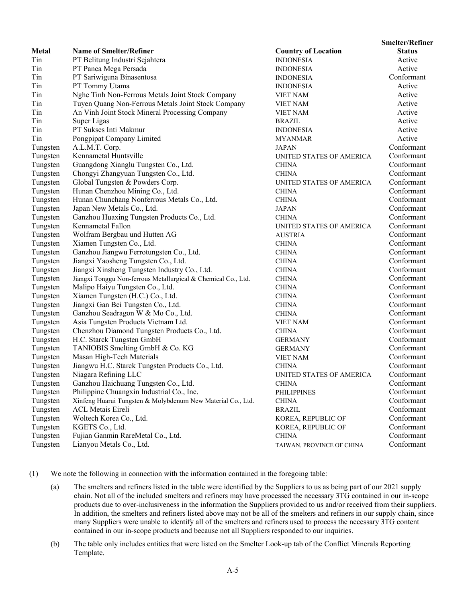| <b>Metal</b> | <b>Name of Smelter/Refiner</b>                                | <b>Country of Location</b> | <b>Status</b> |
|--------------|---------------------------------------------------------------|----------------------------|---------------|
| Tin          | PT Belitung Industri Sejahtera                                | <b>INDONESIA</b>           | Active        |
| Tin          | PT Panca Mega Persada                                         | <b>INDONESIA</b>           | Active        |
| Tin          | PT Sariwiguna Binasentosa                                     | <b>INDONESIA</b>           | Conformant    |
| Tin          | PT Tommy Utama                                                | <b>INDONESIA</b>           | Active        |
| Tin          | Nghe Tinh Non-Ferrous Metals Joint Stock Company              | <b>VIET NAM</b>            | Active        |
| Tin          | Tuyen Quang Non-Ferrous Metals Joint Stock Company            | <b>VIET NAM</b>            | Active        |
| Tin          | An Vinh Joint Stock Mineral Processing Company                | <b>VIET NAM</b>            | Active        |
| Tin          | Super Ligas                                                   | <b>BRAZIL</b>              | Active        |
| Tin          | PT Sukses Inti Makmur                                         | <b>INDONESIA</b>           | Active        |
| Tin          | Pongpipat Company Limited                                     | <b>MYANMAR</b>             | Active        |
| Tungsten     | A.L.M.T. Corp.                                                | JAPAN                      | Conformant    |
| Tungsten     | Kennametal Huntsville                                         | UNITED STATES OF AMERICA   | Conformant    |
| Tungsten     | Guangdong Xianglu Tungsten Co., Ltd.                          | <b>CHINA</b>               | Conformant    |
| Tungsten     | Chongyi Zhangyuan Tungsten Co., Ltd.                          | <b>CHINA</b>               | Conformant    |
| Tungsten     | Global Tungsten & Powders Corp.                               | UNITED STATES OF AMERICA   | Conformant    |
| Tungsten     | Hunan Chenzhou Mining Co., Ltd.                               | <b>CHINA</b>               | Conformant    |
| Tungsten     | Hunan Chunchang Nonferrous Metals Co., Ltd.                   | <b>CHINA</b>               | Conformant    |
| Tungsten     | Japan New Metals Co., Ltd.                                    | <b>JAPAN</b>               | Conformant    |
| Tungsten     | Ganzhou Huaxing Tungsten Products Co., Ltd.                   | <b>CHINA</b>               | Conformant    |
| Tungsten     | Kennametal Fallon                                             | UNITED STATES OF AMERICA   | Conformant    |
| Tungsten     | Wolfram Bergbau und Hutten AG                                 | <b>AUSTRIA</b>             | Conformant    |
| Tungsten     | Xiamen Tungsten Co., Ltd.                                     | <b>CHINA</b>               | Conformant    |
| Tungsten     | Ganzhou Jiangwu Ferrotungsten Co., Ltd.                       | <b>CHINA</b>               | Conformant    |
| Tungsten     | Jiangxi Yaosheng Tungsten Co., Ltd.                           | <b>CHINA</b>               | Conformant    |
| Tungsten     | Jiangxi Xinsheng Tungsten Industry Co., Ltd.                  | <b>CHINA</b>               | Conformant    |
| Tungsten     | Jiangxi Tonggu Non-ferrous Metallurgical & Chemical Co., Ltd. | <b>CHINA</b>               | Conformant    |
| Tungsten     | Malipo Haiyu Tungsten Co., Ltd.                               | <b>CHINA</b>               | Conformant    |
| Tungsten     | Xiamen Tungsten (H.C.) Co., Ltd.                              | <b>CHINA</b>               | Conformant    |
| Tungsten     | Jiangxi Gan Bei Tungsten Co., Ltd.                            | <b>CHINA</b>               | Conformant    |
| Tungsten     | Ganzhou Seadragon W & Mo Co., Ltd.                            | <b>CHINA</b>               | Conformant    |
| Tungsten     | Asia Tungsten Products Vietnam Ltd.                           | <b>VIET NAM</b>            | Conformant    |
| Tungsten     | Chenzhou Diamond Tungsten Products Co., Ltd.                  | <b>CHINA</b>               | Conformant    |
| Tungsten     | H.C. Starck Tungsten GmbH                                     | <b>GERMANY</b>             | Conformant    |
| Tungsten     | TANIOBIS Smelting GmbH & Co. KG                               | <b>GERMANY</b>             | Conformant    |
| Tungsten     | Masan High-Tech Materials                                     | <b>VIET NAM</b>            | Conformant    |
| Tungsten     | Jiangwu H.C. Starck Tungsten Products Co., Ltd.               | <b>CHINA</b>               | Conformant    |
| Tungsten     | Niagara Refining LLC                                          | UNITED STATES OF AMERICA   | Conformant    |
| Tungsten     | Ganzhou Haichuang Tungsten Co., Ltd.                          | <b>CHINA</b>               | Conformant    |
| Tungsten     | Philippine Chuangxin Industrial Co., Inc.                     | <b>PHILIPPINES</b>         | Conformant    |
| Tungsten     | Xinfeng Huarui Tungsten & Molybdenum New Material Co., Ltd.   | <b>CHINA</b>               | Conformant    |
| Tungsten     | <b>ACL Metais Eireli</b>                                      | <b>BRAZIL</b>              | Conformant    |
| Tungsten     | Woltech Korea Co., Ltd.                                       | KOREA, REPUBLIC OF         | Conformant    |
| Tungsten     | KGETS Co., Ltd.                                               | KOREA, REPUBLIC OF         | Conformant    |
| Tungsten     | Fujian Ganmin RareMetal Co., Ltd.                             | <b>CHINA</b>               | Conformant    |
| Tungsten     | Lianyou Metals Co., Ltd.                                      | TAIWAN, PROVINCE OF CHINA  | Conformant    |
|              |                                                               |                            |               |

**Smelter/Refiner** 

(1) We note the following in connection with the information contained in the foregoing table:

- (a) The smelters and refiners listed in the table were identified by the Suppliers to us as being part of our 2021 supply chain. Not all of the included smelters and refiners may have processed the necessary 3TG contained in our in-scope products due to over-inclusiveness in the information the Suppliers provided to us and/or received from their suppliers. In addition, the smelters and refiners listed above may not be all of the smelters and refiners in our supply chain, since many Suppliers were unable to identify all of the smelters and refiners used to process the necessary 3TG content contained in our in-scope products and because not all Suppliers responded to our inquiries.
- (b) The table only includes entities that were listed on the Smelter Look-up tab of the Conflict Minerals Reporting Template.